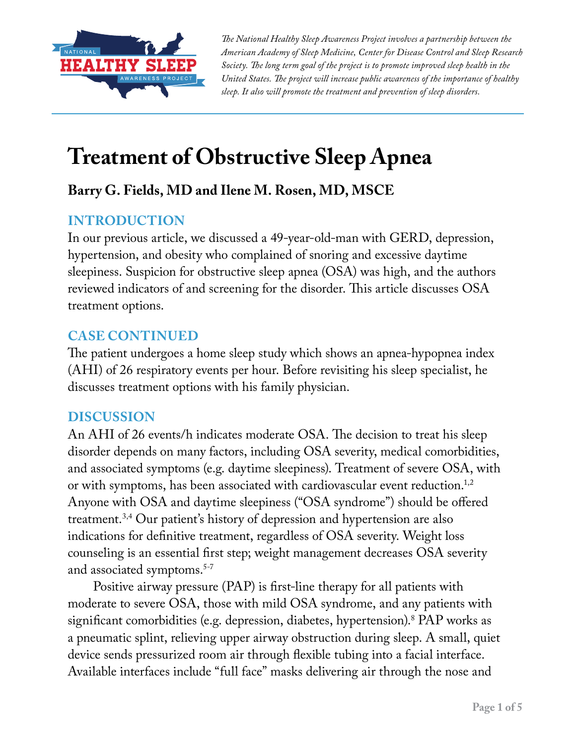

*The National Healthy Sleep Awareness Project involves a partnership between the American Academy of Sleep Medicine, Center for Disease Control and Sleep Research Society. The long term goal of the project is to promote improved sleep health in the United States. The project will increase public awareness of the importance of healthy sleep. It also will promote the treatment and prevention of sleep disorders.*

# **Treatment of Obstructive Sleep Apnea**

## **Barry G. Fields, MD and Ilene M. Rosen, MD, MSCE**

## **INTRODUCTION**

In our previous article, we discussed a 49-year-old-man with GERD, depression, hypertension, and obesity who complained of snoring and excessive daytime sleepiness. Suspicion for obstructive sleep apnea (OSA) was high, and the authors reviewed indicators of and screening for the disorder. This article discusses OSA treatment options.

### **CASE CONTINUED**

The patient undergoes a home sleep study which shows an apnea-hypopnea index (AHI) of 26 respiratory events per hour. Before revisiting his sleep specialist, he discusses treatment options with his family physician.

#### **DISCUSSION**

An AHI of 26 events/h indicates moderate OSA. The decision to treat his sleep disorder depends on many factors, including OSA severity, medical comorbidities, and associated symptoms (e.g. daytime sleepiness). Treatment of severe OSA, with or with symptoms, has been associated with cardiovascular event reduction.<sup>1,2</sup> Anyone with OSA and daytime sleepiness ("OSA syndrome") should be offered treatment.3,4 Our patient's history of depression and hypertension are also indications for definitive treatment, regardless of OSA severity. Weight loss counseling is an essential first step; weight management decreases OSA severity and associated symptoms.<sup>5-7</sup>

Positive airway pressure (PAP) is first-line therapy for all patients with moderate to severe OSA, those with mild OSA syndrome, and any patients with significant comorbidities (e.g. depression, diabetes, hypertension).8 PAP works as a pneumatic splint, relieving upper airway obstruction during sleep. A small, quiet device sends pressurized room air through flexible tubing into a facial interface. Available interfaces include "full face" masks delivering air through the nose and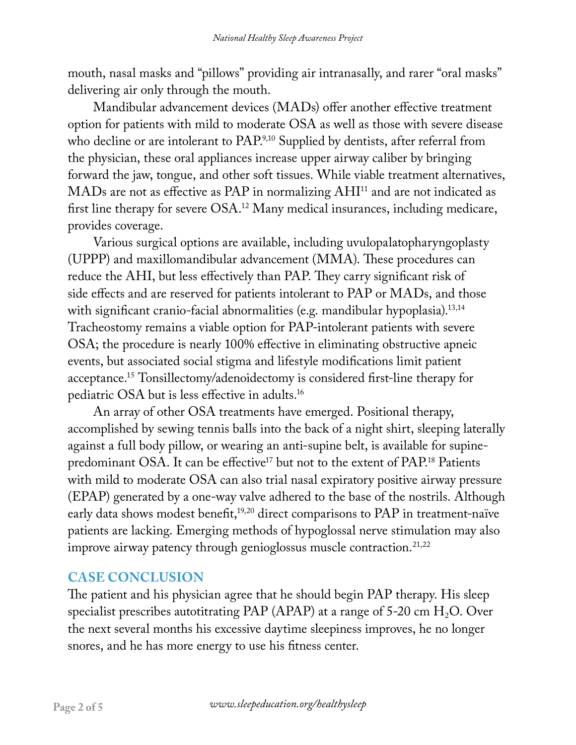mouth, nasal masks and "pillows" providing air intranasally, and rarer "oral masks" delivering air only through the mouth.

Mandibular advancement devices (MADs) offer another effective treatment option for patients with mild to moderate OSA as well as those with severe disease who decline or are intolerant to PAP.<sup>9,10</sup> Supplied by dentists, after referral from the physician, these oral appliances increase upper airway caliber by bringing forward the jaw, tongue, and other soft tissues. While viable treatment alternatives, MADs are not as effective as PAP in normalizing AHI<sup>11</sup> and are not indicated as first line therapy for severe OSA.12 Many medical insurances, including medicare, provides coverage.

Various surgical options are available, including uvulopalatopharyngoplasty (UPPP) and maxillomandibular advancement (MMA). These procedures can reduce the AHI, but less effectively than PAP. They carry significant risk of side effects and are reserved for patients intolerant to PAP or MADs, and those with significant cranio-facial abnormalities (e.g. mandibular hypoplasia).<sup>13,14</sup> Tracheostomy remains a viable option for PAP-intolerant patients with severe OSA; the procedure is nearly 100% effective in eliminating obstructive apneic events, but associated social stigma and lifestyle modifications limit patient acceptance.15 Tonsillectomy/adenoidectomy is considered first-line therapy for pediatric OSA but is less effective in adults.16

An array of other OSA treatments have emerged. Positional therapy, accomplished by sewing tennis balls into the back of a night shirt, sleeping laterally against a full body pillow, or wearing an anti-supine belt, is available for supinepredominant OSA. It can be effective<sup>17</sup> but not to the extent of PAP.<sup>18</sup> Patients with mild to moderate OSA can also trial nasal expiratory positive airway pressure (EPAP) generated by a one-way valve adhered to the base of the nostrils. Although early data shows modest benefit,<sup>19,20</sup> direct comparisons to PAP in treatment-naïve patients are lacking. Emerging methods of hypoglossal nerve stimulation may also improve airway patency through genioglossus muscle contraction.<sup>21,22</sup>

## **CASE CONCLUSION**

The patient and his physician agree that he should begin PAP therapy. His sleep specialist prescribes autotitrating PAP (APAP) at a range of 5-20 cm  $H_2O$ . Over the next several months his excessive daytime sleepiness improves, he no longer snores, and he has more energy to use his fitness center.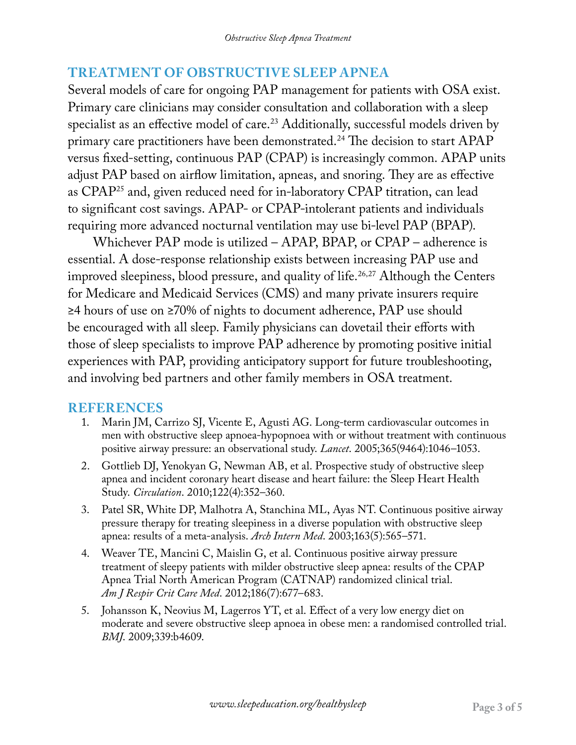## **TREATMENT OF OBSTRUCTIVE SLEEP APNEA**

Several models of care for ongoing PAP management for patients with OSA exist. Primary care clinicians may consider consultation and collaboration with a sleep specialist as an effective model of care.<sup>23</sup> Additionally, successful models driven by primary care practitioners have been demonstrated.<sup>24</sup> The decision to start APAP versus fixed-setting, continuous PAP (CPAP) is increasingly common. APAP units adjust PAP based on airflow limitation, apneas, and snoring. They are as effective as CPAP25 and, given reduced need for in-laboratory CPAP titration, can lead to significant cost savings. APAP- or CPAP-intolerant patients and individuals requiring more advanced nocturnal ventilation may use bi-level PAP (BPAP).

Whichever PAP mode is utilized – APAP, BPAP, or CPAP – adherence is essential. A dose-response relationship exists between increasing PAP use and improved sleepiness, blood pressure, and quality of life.<sup>26,27</sup> Although the Centers for Medicare and Medicaid Services (CMS) and many private insurers require ≥4 hours of use on ≥70% of nights to document adherence, PAP use should be encouraged with all sleep. Family physicians can dovetail their efforts with those of sleep specialists to improve PAP adherence by promoting positive initial experiences with PAP, providing anticipatory support for future troubleshooting, and involving bed partners and other family members in OSA treatment.

#### **REFERENCES**

- 1. Marin JM, Carrizo SJ, Vicente E, Agusti AG. Long-term cardiovascular outcomes in men with obstructive sleep apnoea-hypopnoea with or without treatment with continuous positive airway pressure: an observational study. *Lancet*. 2005;365(9464):1046–1053.
- 2. Gottlieb DJ, Yenokyan G, Newman AB, et al. Prospective study of obstructive sleep apnea and incident coronary heart disease and heart failure: the Sleep Heart Health Study. *Circulation*. 2010;122(4):352–360.
- 3. Patel SR, White DP, Malhotra A, Stanchina ML, Ayas NT. Continuous positive airway pressure therapy for treating sleepiness in a diverse population with obstructive sleep apnea: results of a meta-analysis. *Arch Intern Med*. 2003;163(5):565–571.
- 4. Weaver TE, Mancini C, Maislin G, et al. Continuous positive airway pressure treatment of sleepy patients with milder obstructive sleep apnea: results of the CPAP Apnea Trial North American Program (CATNAP) randomized clinical trial. *Am J Respir Crit Care Med*. 2012;186(7):677–683.
- 5. Johansson K, Neovius M, Lagerros YT, et al. Effect of a very low energy diet on moderate and severe obstructive sleep apnoea in obese men: a randomised controlled trial. *BMJ*. 2009;339:b4609.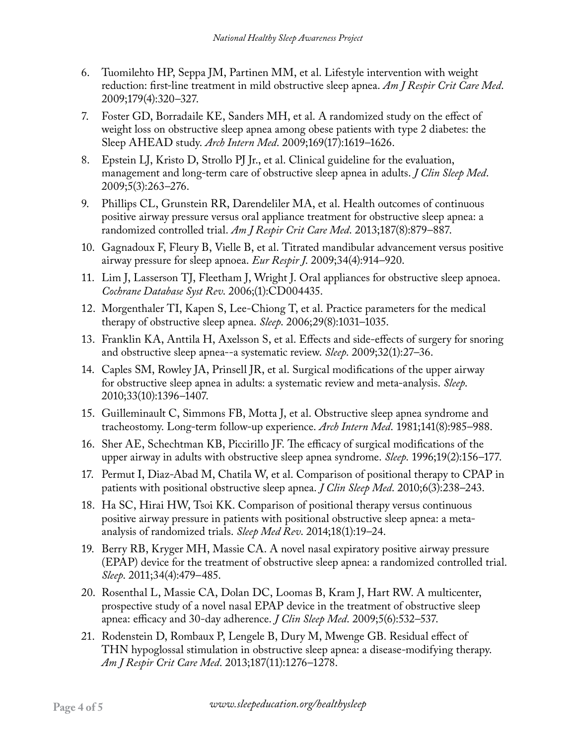- 6. Tuomilehto HP, Seppa JM, Partinen MM, et al. Lifestyle intervention with weight reduction: first-line treatment in mild obstructive sleep apnea. *Am J Respir Crit Care Med*. 2009;179(4):320–327.
- 7. Foster GD, Borradaile KE, Sanders MH, et al. A randomized study on the effect of weight loss on obstructive sleep apnea among obese patients with type 2 diabetes: the Sleep AHEAD study. *Arch Intern Med*. 2009;169(17):1619–1626.
- 8. Epstein LJ, Kristo D, Strollo PJ Jr., et al. Clinical guideline for the evaluation, management and long-term care of obstructive sleep apnea in adults. *J Clin Sleep Med*. 2009;5(3):263–276.
- 9. Phillips CL, Grunstein RR, Darendeliler MA, et al. Health outcomes of continuous positive airway pressure versus oral appliance treatment for obstructive sleep apnea: a randomized controlled trial. *Am J Respir Crit Care Med*. 2013;187(8):879–887.
- 10. Gagnadoux F, Fleury B, Vielle B, et al. Titrated mandibular advancement versus positive airway pressure for sleep apnoea. *Eur Respir J*. 2009;34(4):914–920.
- 11. Lim J, Lasserson TJ, Fleetham J, Wright J. Oral appliances for obstructive sleep apnoea. *Cochrane Database Syst Rev*. 2006;(1):CD004435.
- 12. Morgenthaler TI, Kapen S, Lee-Chiong T, et al. Practice parameters for the medical therapy of obstructive sleep apnea. *Sleep*. 2006;29(8):1031–1035.
- 13. Franklin KA, Anttila H, Axelsson S, et al. Effects and side-effects of surgery for snoring and obstructive sleep apnea--a systematic review. *Sleep*. 2009;32(1):27–36.
- 14. Caples SM, Rowley JA, Prinsell JR, et al. Surgical modifications of the upper airway for obstructive sleep apnea in adults: a systematic review and meta-analysis. *Sleep*. 2010;33(10):1396–1407.
- 15. Guilleminault C, Simmons FB, Motta J, et al. Obstructive sleep apnea syndrome and tracheostomy. Long-term follow-up experience. *Arch Intern Med*. 1981;141(8):985–988.
- 16. Sher AE, Schechtman KB, Piccirillo JF. The efficacy of surgical modifications of the upper airway in adults with obstructive sleep apnea syndrome. *Sleep*. 1996;19(2):156–177.
- 17. Permut I, Diaz-Abad M, Chatila W, et al. Comparison of positional therapy to CPAP in patients with positional obstructive sleep apnea. *J Clin Sleep Med*. 2010;6(3):238–243.
- 18. Ha SC, Hirai HW, Tsoi KK. Comparison of positional therapy versus continuous positive airway pressure in patients with positional obstructive sleep apnea: a metaanalysis of randomized trials. *Sleep Med Rev*. 2014;18(1):19–24.
- 19. Berry RB, Kryger MH, Massie CA. A novel nasal expiratory positive airway pressure (EPAP) device for the treatment of obstructive sleep apnea: a randomized controlled trial. *Sleep*. 2011;34(4):479–485.
- 20. Rosenthal L, Massie CA, Dolan DC, Loomas B, Kram J, Hart RW. A multicenter, prospective study of a novel nasal EPAP device in the treatment of obstructive sleep apnea: efficacy and 30-day adherence. *J Clin Sleep Med*. 2009;5(6):532–537.
- 21. Rodenstein D, Rombaux P, Lengele B, Dury M, Mwenge GB. Residual effect of THN hypoglossal stimulation in obstructive sleep apnea: a disease-modifying therapy. *Am J Respir Crit Care Med*. 2013;187(11):1276–1278.